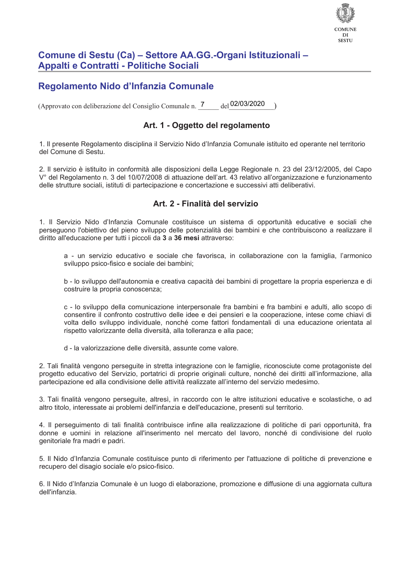

# Comune di Sestu (Ca) – Settore AA.GG.-Organi Istituzionali – Appalti e Contratti - Politiche Sociali

# Regolamento Nido d'Infanzia Comunale

<sub>del</sub> 02/03/2020 (Approvato con deliberazione del Consiglio Comunale n. 7

# Art. 1 - Oggetto del regolamento

1. Il presente Regolamento disciplina il Servizio Nido d'Infanzia Comunale istituito ed operante nel territorio del Comune di Sestu.

2. Il servizio è istituito in conformità alle disposizioni della Legge Regionale n. 23 del 23/12/2005, del Capo V° del Regolamento n. 3 del 10/07/2008 di attuazione dell'art. 43 relativo all'organizzazione e funzionamento delle strutture sociali, istituti di partecipazione e concertazione e successivi atti deliberativi.

# Art. 2 - Finalità del servizio

1. Il Servizio Nido d'Infanzia Comunale costituisce un sistema di opportunità educative e sociali che perseguono l'obiettivo del pieno sviluppo delle potenzialità dei bambini e che contribuiscono a realizzare il diritto all'educazione per tutti i piccoli da 3 a 36 mesi attraverso:

a - un servizio educativo e sociale che favorisca, in collaborazione con la famiglia, l'armonico sviluppo psico-fisico e sociale dei bambini:

b - lo sviluppo dell'autonomia e creativa capacità dei bambini di progettare la propria esperienza e di costruire la propria conoscenza;

c - lo sviluppo della comunicazione interpersonale fra bambini e fra bambini e adulti, allo scopo di consentire il confronto costruttivo delle idee e dei pensieri e la cooperazione, intese come chiavi di volta dello sviluppo individuale, nonché come fattori fondamentali di una educazione orientata al rispetto valorizzante della diversità, alla tolleranza e alla pace;

d - la valorizzazione delle diversità, assunte come valore.

2. Tali finalità vengono perseguite in stretta integrazione con le famiglie, riconosciute come protagoniste del progetto educativo del Servizio, portatrici di proprie originali culture, nonché dei diritti all'informazione, alla partecipazione ed alla condivisione delle attività realizzate all'interno del servizio medesimo.

3. Tali finalità vengono perseguite, altresì, in raccordo con le altre istituzioni educative e scolastiche, o ad altro titolo, interessate ai problemi dell'infanzia e dell'educazione, presenti sul territorio.

4. Il perseguimento di tali finalità contribuisce infine alla realizzazione di politiche di pari opportunità, fra donne e uomini in relazione all'inserimento nel mercato del lavoro, nonché di condivisione del ruolo genitoriale fra madri e padri.

5. Il Nido d'Infanzia Comunale costituisce punto di riferimento per l'attuazione di politiche di prevenzione e recupero del disagio sociale e/o psico-fisico.

6. Il Nido d'Infanzia Comunale è un luogo di elaborazione, promozione e diffusione di una aggiornata cultura dell'infanzia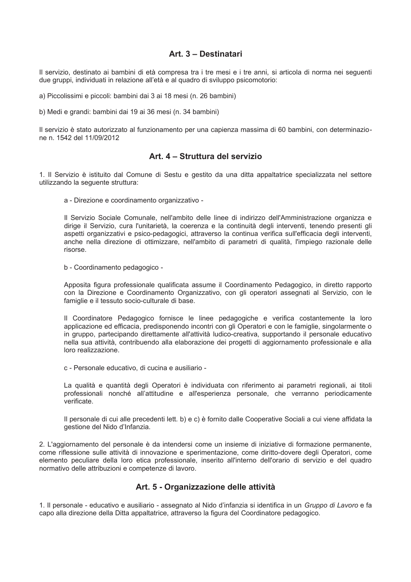### Art. 3 - Destinatari

Il servizio, destinato ai bambini di età compresa tra i tre mesi e i tre anni, si articola di norma nei seguenti due gruppi, individuati in relazione all'età e al quadro di sviluppo psicomotorio:

a) Piccolissimi e piccoli: bambini dai 3 ai 18 mesi (n. 26 bambini)

b) Medi e grandi: bambini dai 19 ai 36 mesi (n. 34 bambini)

Il servizio è stato autorizzato al funzionamento per una capienza massima di 60 bambini, con determinazione n. 1542 del 11/09/2012

# Art. 4 - Struttura del servizio

1. Il Servizio è istituito dal Comune di Sestu e gestito da una ditta appaltatrice specializzata nel settore utilizzando la sequente struttura:

a - Direzione e coordinamento organizzativo -

Il Servizio Sociale Comunale, nell'ambito delle linee di indirizzo dell'Amministrazione organizza e dirige il Servizio, cura l'unitarietà, la coerenza e la continuità degli interventi, tenendo presenti gli aspetti organizzativi e psico-pedagogici, attraverso la continua verifica sull'efficacia degli interventi, anche nella direzione di ottimizzare, nell'ambito di parametri di qualità, l'impiego razionale delle risorse

b - Coordinamento pedagogico -

Apposita figura professionale qualificata assume il Coordinamento Pedagogico, in diretto rapporto con la Direzione e Coordinamento Organizzativo, con gli operatori assegnati al Servizio, con le famiglie e il tessuto socio-culturale di base.

Il Coordinatore Pedagogico fornisce le linee pedagogiche e verifica costantemente la loro applicazione ed efficacia, predisponendo incontri con gli Operatori e con le famiglie, singolarmente o in gruppo, partecipando direttamente all'attività ludico-creativa, supportando il personale educativo nella sua attività, contribuendo alla elaborazione dei progetti di aggiornamento professionale e alla loro realizzazione.

c - Personale educativo, di cucina e ausiliario -

La qualità e quantità degli Operatori è individuata con riferimento ai parametri regionali, ai titoli professionali nonché all'attitudine e all'esperienza personale, che verranno periodicamente verificate.

Il personale di cui alle precedenti lett. b) e c) è fornito dalle Cooperative Sociali a cui viene affidata la gestione del Nido d'Infanzia.

2. L'aggiornamento del personale è da intendersi come un insieme di iniziative di formazione permanente. come riflessione sulle attività di innovazione e sperimentazione, come diritto-dovere degli Operatori, come elemento peculiare della loro etica professionale, inserito all'interno dell'orario di servizio e del quadro normativo delle attribuzioni e competenze di lavoro.

# Art. 5 - Organizzazione delle attività

1. Il personale - educativo e ausiliario - assegnato al Nido d'infanzia si identifica in un Gruppo di Lavoro e fa capo alla direzione della Ditta appaltatrice, attraverso la figura del Coordinatore pedagogico.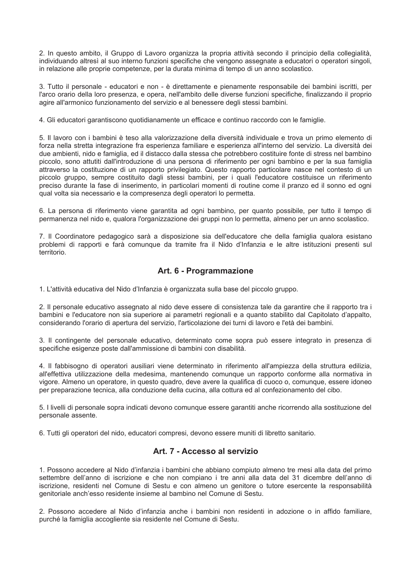2. In questo ambito, il Gruppo di Lavoro organizza la propria attività secondo il principio della collegialità, individuando altresì al suo interno funzioni specifiche che vengono assegnate a educatori o operatori singoli, in relazione alle proprie competenze, per la durata minima di tempo di un anno scolastico.

3. Tutto il personale - educatori e non - è direttamente e pienamente responsabile dei bambini iscritti, per l'arco orario della loro presenza, e opera, nell'ambito delle diverse funzioni specifiche, finalizzando il proprio agire all'armonico funzionamento del servizio e al benessere degli stessi bambini.

4. Gli educatori garantiscono quotidianamente un efficace e continuo raccordo con le famiglie.

5. Il lavoro con i bambini è teso alla valorizzazione della diversità individuale e trova un primo elemento di forza nella stretta integrazione fra esperienza familiare e esperienza all'interno del servizio. La diversità dei due ambienti, nido e famiglia, ed il distacco dalla stessa che potrebbero costituire fonte di stress nel bambino piccolo, sono attutiti dall'introduzione di una persona di riferimento per ogni bambino e per la sua famiglia attraverso la costituzione di un rapporto privilegiato. Questo rapporto particolare nasce nel contesto di un piccolo gruppo, sempre costituito dagli stessi bambini, per i quali l'educatore costituisce un riferimento preciso durante la fase di inserimento, in particolari momenti di routine come il pranzo ed il sonno ed ogni qual volta sia necessario e la compresenza degli operatori lo permetta.

6. La persona di riferimento viene garantita ad ogni bambino, per quanto possibile, per tutto il tempo di permanenza nel nido e, qualora l'organizzazione dei gruppi non lo permetta, almeno per un anno scolastico.

7. Il Coordinatore pedagogico sarà a disposizione sia dell'educatore che della famiglia gualora esistano problemi di rapporti e farà comunque da tramite fra il Nido d'Infanzia e le altre istituzioni presenti sul territorio.

### Art. 6 - Programmazione

1. L'attività educativa del Nido d'Infanzia è organizzata sulla base del piccolo gruppo.

2. Il personale educativo assegnato al nido deve essere di consistenza tale da garantire che il rapporto tra i bambini e l'educatore non sia superiore ai parametri regionali e a quanto stabilito dal Capitolato d'appalto. considerando l'orario di apertura del servizio. l'articolazione dei turni di lavoro e l'età dei bambini.

3. Il contingente del personale educativo, determinato come sopra può essere integrato in presenza di specifiche esigenze poste dall'ammissione di bambini con disabilità.

4. Il fabbisogno di operatori ausiliari viene determinato in riferimento all'ampiezza della struttura edilizia, all'effettiva utilizzazione della medesima, mantenendo comunque un rapporto conforme alla normativa in vigore. Almeno un operatore, in questo quadro, deve avere la qualifica di cuoco o, comunque, essere idoneo per preparazione tecnica, alla conduzione della cucina, alla cottura ed al confezionamento del cibo.

5. I livelli di personale sopra indicati devono comunque essere garantiti anche ricorrendo alla sostituzione del personale assente.

6. Tutti gli operatori del nido, educatori compresi, devono essere muniti di libretto sanitario.

# Art. 7 - Accesso al servizio

1. Possono accedere al Nido d'infanzia i bambini che abbiano compiuto almeno tre mesi alla data del primo settembre dell'anno di iscrizione e che non compiano i tre anni alla data del 31 dicembre dell'anno di iscrizione, residenti nel Comune di Sestu e con almeno un genitore o tutore esercente la responsabilità genitoriale anch'esso residente insieme al bambino nel Comune di Sestu.

2. Possono accedere al Nido d'infanzia anche i bambini non residenti in adozione o in affido familiare. purché la famiglia accogliente sia residente nel Comune di Sestu.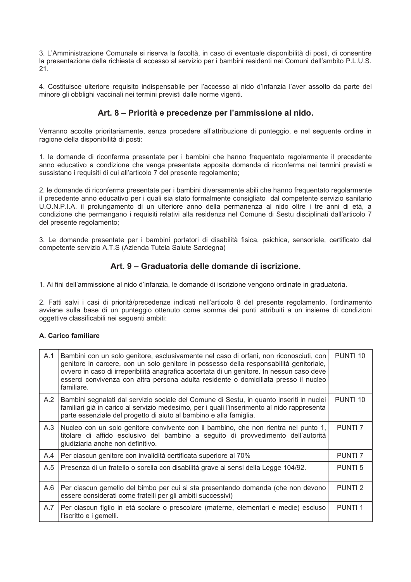3. L'Amministrazione Comunale si riserva la facoltà, in caso di eventuale disponibilità di posti, di consentire la presentazione della richiesta di accesso al servizio per i bambini residenti nei Comuni dell'ambito P.L.U.S.  $21.$ 

4. Costituisce ulteriore requisito indispensabile per l'accesso al nido d'infanzia l'aver assolto da parte del minore gli obblighi vaccinali nei termini previsti dalle norme vigenti.

### Art. 8 – Priorità e precedenze per l'ammissione al nido.

Verranno accolte prioritariamente, senza procedere all'attribuzione di punteggio, e nel seguente ordine in ragione della disponibilità di posti:

1. le domande di riconferma presentate per i bambini che hanno frequentato regolarmente il precedente anno educativo a condizione che venga presentata apposita domanda di riconferma nei termini previsti e sussistano i requisiti di cui all'articolo 7 del presente regolamento;

2. le domande di riconferma presentate per i bambini diversamente abili che hanno frequentato regolarmente il precedente anno educativo per i quali sia stato formalmente consigliato dal competente servizio sanitario U.O.N.P.I.A. il prolungamento di un ulteriore anno della permanenza al nido oltre i tre anni di età, a condizione che permangano i requisiti relativi alla residenza nel Comune di Sestu disciplinati dall'articolo 7 del presente regolamento;

3. Le domande presentate per i bambini portatori di disabilità fisica, psichica, sensoriale, certificato dal competente servizio A.T.S (Azienda Tutela Salute Sardegna)

# Art. 9 – Graduatoria delle domande di iscrizione.

1. Ai fini dell'ammissione al nido d'infanzia, le domande di iscrizione vengono ordinate in graduatoria.

2. Fatti salvi i casi di priorità/precedenze indicati nell'articolo 8 del presente regolamento, l'ordinamento avviene sulla base di un punteggio ottenuto come somma dei punti attribuiti a un insieme di condizioni oggettive classificabili nei seguenti ambiti:

#### A. Carico familiare

| A.1 | Bambini con un solo genitore, esclusivamente nel caso di orfani, non riconosciuti, con<br>genitore in carcere, con un solo genitore in possesso della responsabilità genitoriale,<br>ovvero in caso di irreperibilità anagrafica accertata di un genitore. In nessun caso deve<br>esserci convivenza con altra persona adulta residente o domiciliata presso il nucleo<br>familiare. | PUNTI <sub>10</sub> |
|-----|--------------------------------------------------------------------------------------------------------------------------------------------------------------------------------------------------------------------------------------------------------------------------------------------------------------------------------------------------------------------------------------|---------------------|
| A.2 | Bambini segnalati dal servizio sociale del Comune di Sestu, in quanto inseriti in nuclei<br>familiari già in carico al servizio medesimo, per i quali l'inserimento al nido rappresenta<br>parte essenziale del progetto di aiuto al bambino e alla famiglia.                                                                                                                        | PUNTI 10            |
| A.3 | Nucleo con un solo genitore convivente con il bambino, che non rientra nel punto 1,<br>titolare di affido esclusivo del bambino a seguito di provvedimento dell'autorità<br>giudiziaria anche non definitivo.                                                                                                                                                                        | <b>PUNTI 7</b>      |
| A.4 | Per ciascun genitore con invalidità certificata superiore al 70%                                                                                                                                                                                                                                                                                                                     | <b>PUNTI 7</b>      |
| A.5 | Presenza di un fratello o sorella con disabilità grave ai sensi della Legge 104/92.                                                                                                                                                                                                                                                                                                  | <b>PUNTI 5</b>      |
| A.6 | Per ciascun gemello del bimbo per cui si sta presentando domanda (che non devono<br>essere considerati come fratelli per gli ambiti successivi)                                                                                                                                                                                                                                      | <b>PUNTI2</b>       |
| A.7 | Per ciascun figlio in età scolare o prescolare (materne, elementari e medie) escluso<br>l'iscritto e i gemelli.                                                                                                                                                                                                                                                                      | <b>PUNTI1</b>       |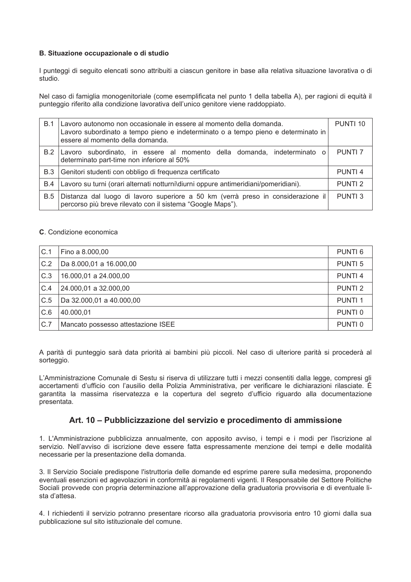#### B. Situazione occupazionale o di studio

I punteggi di seguito elencati sono attribuiti a ciascun genitore in base alla relativa situazione lavorativa o di studio

Nel caso di famiglia monogenitoriale (come esemplificata nel punto 1 della tabella A), per ragioni di equità il punteggio riferito alla condizione lavorativa dell'unico genitore viene raddoppiato.

| B.1        | Lavoro autonomo non occasionale in essere al momento della domanda.<br>Lavoro subordinato a tempo pieno e indeterminato o a tempo pieno e determinato in<br>essere al momento della domanda. | PUNTI 10       |
|------------|----------------------------------------------------------------------------------------------------------------------------------------------------------------------------------------------|----------------|
| B.2        | Lavoro subordinato, in essere al momento della domanda, indeterminato o<br>determinato part-time non inferiore al 50%                                                                        | <b>PUNTI 7</b> |
| B.3        | Genitori studenti con obbligo di frequenza certificato                                                                                                                                       | <b>PUNTI4</b>  |
| B.4        | Lavoro su turni (orari alternati notturni\diurni oppure antimeridiani/pomeridiani).                                                                                                          | <b>PUNTI2</b>  |
| <b>B.5</b> | Distanza dal luogo di lavoro superiore a 50 km (verrà preso in considerazione il<br>percorso più breve rilevato con il sistema "Google Maps").                                               | PUNTL3         |

#### C. Condizione economica

| C.1 | Fino a 8.000,00                    | PUNTI <sub>6</sub> |
|-----|------------------------------------|--------------------|
| C.2 | Da 8.000,01 a 16.000,00            | PUNTI <sub>5</sub> |
| C.3 | 16.000,01 a 24.000,00              | PUNTI <sub>4</sub> |
| C.4 | 24.000,01 a 32.000,00              | <b>PUNTI2</b>      |
| C.5 | Da 32.000,01 a 40.000,00           | PUNTI <sub>1</sub> |
| C.6 | 40.000,01                          | PUNTI <sub>0</sub> |
| C.7 | Mancato possesso attestazione ISEE | PUNTI <sub>0</sub> |

A parità di punteggio sarà data priorità ai bambini più piccoli. Nel caso di ulteriore parità si procederà al sorteggio.

L'Amministrazione Comunale di Sestu si riserva di utilizzare tutti i mezzi consentiti dalla legge, compresi gli accertamenti d'ufficio con l'ausilio della Polizia Amministrativa, per verificare le dichiarazioni rilasciate. È garantita la massima riservatezza e la copertura del segreto d'ufficio riguardo alla documentazione presentata.

# Art. 10 – Pubblicizzazione del servizio e procedimento di ammissione

1. L'Amministrazione pubblicizza annualmente, con apposito avviso, i tempi e i modi per l'iscrizione al servizio. Nell'avviso di iscrizione deve essere fatta espressamente menzione dei tempi e delle modalità necessarie per la presentazione della domanda.

3. Il Servizio Sociale predispone l'istruttoria delle domande ed esprime parere sulla medesima, proponendo eventuali esenzioni ed agevolazioni in conformità ai regolamenti vigenti. Il Responsabile del Settore Politiche Sociali provvede con propria determinazione all'approvazione della graduatoria provvisoria e di eventuale lista d'attesa.

4. I richiedenti il servizio potranno presentare ricorso alla graduatoria provvisoria entro 10 giorni dalla sua pubblicazione sul sito istituzionale del comune.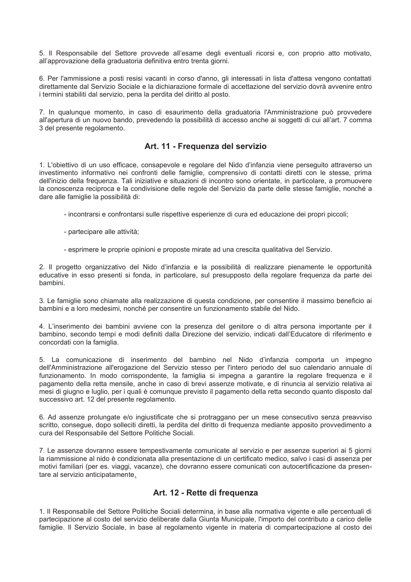5. Il Responsabile del Settore provvede all'esame degli eventuali ricorsi e, con proprio atto motivato, all'approvazione della graduatoria definitiva entro trenta giorni.

6. Per l'ammissione a posti resisi vacanti in corso d'anno, gli interessati in lista d'attesa vengono contattati direttamente dal Servizio Sociale e la dichiarazione formale di accettazione del servizio dovrà avvenire entro i termini stabiliti dal servizio, pena la perdita del diritto al posto.

7. In qualunque momento, in caso di esaurimento della graduatoria l'Amministrazione può provvedere all'apertura di un nuovo bando, prevedendo la possibilità di accesso anche ai soggetti di cui all'art. 7 comma 3 del presente regolamento.

### Art. 11 - Frequenza del servizio

1. L'obiettivo di un uso efficace, consapevole e regolare del Nido d'infanzia viene perseguito attraverso un investimento informativo nei confronti delle famiglie, comprensivo di contatti diretti con le stesse, prima dell'inizio della frequenza. Tali iniziative e situazioni di incontro sono orientate, in particolare, a promuovere la conoscenza reciproca e la condivisione delle regole del Servizio da parte delle stesse famiglie, nonché a dare alle famiglie la possibilità di:

- incontrarsi e confrontarsi sulle rispettive esperienze di cura ed educazione dei propri piccoli;
- partecipare alle attività;
- esprimere le proprie opinioni e proposte mirate ad una crescita qualitativa del Servizio.

2. Il progetto organizzativo del Nido d'infanzia e la possibilità di realizzare pienamente le opportunità educative in esso presenti si fonda, in particolare, sul presupposto della regolare frequenza da parte dei bambini.

3. Le famiglie sono chiamate alla realizzazione di questa condizione, per consentire il massimo beneficio ai bambini e a loro medesimi, nonché per consentire un funzionamento stabile del Nido.

4. L'inserimento dei bambini avviene con la presenza del genitore o di altra persona importante per il bambino, secondo tempi e modi definiti dalla Direzione del servizio, indicati dall'Educatore di riferimento e concordati con la famiglia.

5. La comunicazione di inserimento del bambino nel Nido d'infanzia comporta un impegno dell'Amministrazione all'erogazione del Servizio stesso per l'intero periodo del suo calendario annuale di funzionamento. In modo corrispondente, la famiglia si impegna a garantire la regolare frequenza e il pagamento della retta mensile, anche in caso di brevi assenze motivate, e di rinuncia al servizio relativa ai mesi di giugno e luglio, per i guali è comungue previsto il pagamento della retta secondo guanto disposto dal successivo art. 12 del presente regolamento.

6. Ad assenze prolungate e/o ingiustificate che si protraggano per un mese consecutivo senza preavviso scritto, consegue, dopo solleciti diretti, la perdita del diritto di frequenza mediante apposito provvedimento a cura del Responsabile del Settore Politiche Sociali.

7. Le assenze dovranno essere tempestivamente comunicate al servizio e per assenze superiori ai 5 giorni la riammissione al nido è condizionata alla presentazione di un certificato medico, salvo i casi di assenza per motivi familiari (per es. viaggi, vacanze), che dovranno essere comunicati con autocertificazione da presentare al servizio anticipatamente.

# Art. 12 - Rette di frequenza

1. Il Responsabile del Settore Politiche Sociali determina, in base alla normativa vigente e alle percentuali di partecipazione al costo del servizio deliberate dalla Giunta Municipale, l'importo del contributo a carico delle famiglie. Il Servizio Sociale, in base al regolamento vigente in materia di compartecipazione al costo dei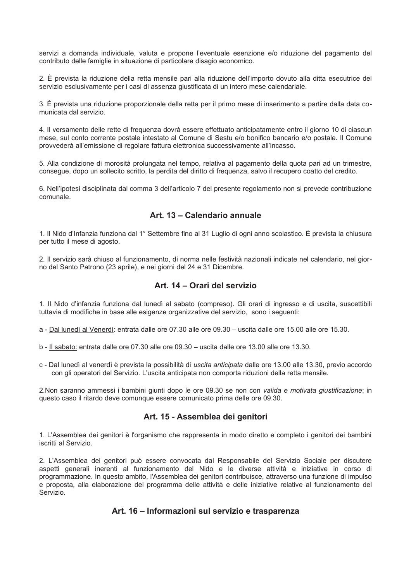servizi a domanda individuale, valuta e propone l'eventuale esenzione e/o riduzione del pagamento del contributo delle famiglie in situazione di particolare disagio economico.

2. È prevista la riduzione della retta mensile pari alla riduzione dell'importo dovuto alla ditta esecutrice del servizio esclusivamente per i casi di assenza giustificata di un intero mese calendariale.

3. È prevista una riduzione proporzionale della retta per il primo mese di inserimento a partire dalla data comunicata dal servizio.

4. Il versamento delle rette di frequenza dovrà essere effettuato anticipatamente entro il giorno 10 di ciascun mese, sul conto corrente postale intestato al Comune di Sestu e/o bonifico bancario e/o postale. Il Comune provvederà all'emissione di regolare fattura elettronica successivamente all'incasso.

5. Alla condizione di morosità prolungata nel tempo, relativa al pagamento della quota pari ad un trimestre, consegue, dopo un sollecito scritto, la perdita del diritto di frequenza, salvo il recupero coatto del credito.

6. Nell'ipotesi disciplinata dal comma 3 dell'articolo 7 del presente regolamento non si prevede contribuzione comunale

### Art. 13 - Calendario annuale

1. Il Nido d'Infanzia funziona dal 1° Settembre fino al 31 Luglio di ogni anno scolastico. È prevista la chiusura per tutto il mese di agosto.

2. Il servizio sarà chiuso al funzionamento, di norma nelle festività nazionali indicate nel calendario, nel giorno del Santo Patrono (23 aprile), e nei giorni del 24 e 31 Dicembre.

### Art. 14 - Orari del servizio

1. Il Nido d'infanzia funziona dal lunedì al sabato (compreso). Gli orari di ingresso e di uscita, suscettibili tuttavia di modifiche in base alle esigenze organizzative del servizio, sono i seguenti:

a - Dal lunedì al Venerdì: entrata dalle ore 07.30 alle ore 09.30 – uscita dalle ore 15.00 alle ore 15.30.

b - Il sabato: entrata dalle ore 07.30 alle ore 09.30 - uscita dalle ore 13.00 alle ore 13.30.

c - Dal lunedì al venerdì è prevista la possibilità di uscita anticipata dalle ore 13.00 alle 13.30, previo accordo con gli operatori del Servizio. L'uscita anticipata non comporta riduzioni della retta mensile.

2. Non saranno ammessi i bambini giunti dopo le ore 09.30 se non con valida e motivata giustificazione; in questo caso il ritardo deve comunque essere comunicato prima delle ore 09.30.

# Art. 15 - Assemblea dei genitori

1. L'Assemblea dei genitori è l'organismo che rappresenta in modo diretto e completo i genitori dei bambini iscritti al Servizio.

2. L'Assemblea dei genitori può essere convocata dal Responsabile del Servizio Sociale per discutere aspetti generali inerenti al funzionamento del Nido e le diverse attività e iniziative in corso di programmazione. In questo ambito, l'Assemblea dei genitori contribuisce, attraverso una funzione di impulso e proposta, alla elaborazione del programma delle attività e delle iniziative relative al funzionamento del Servizio.

### Art. 16 - Informazioni sul servizio e trasparenza